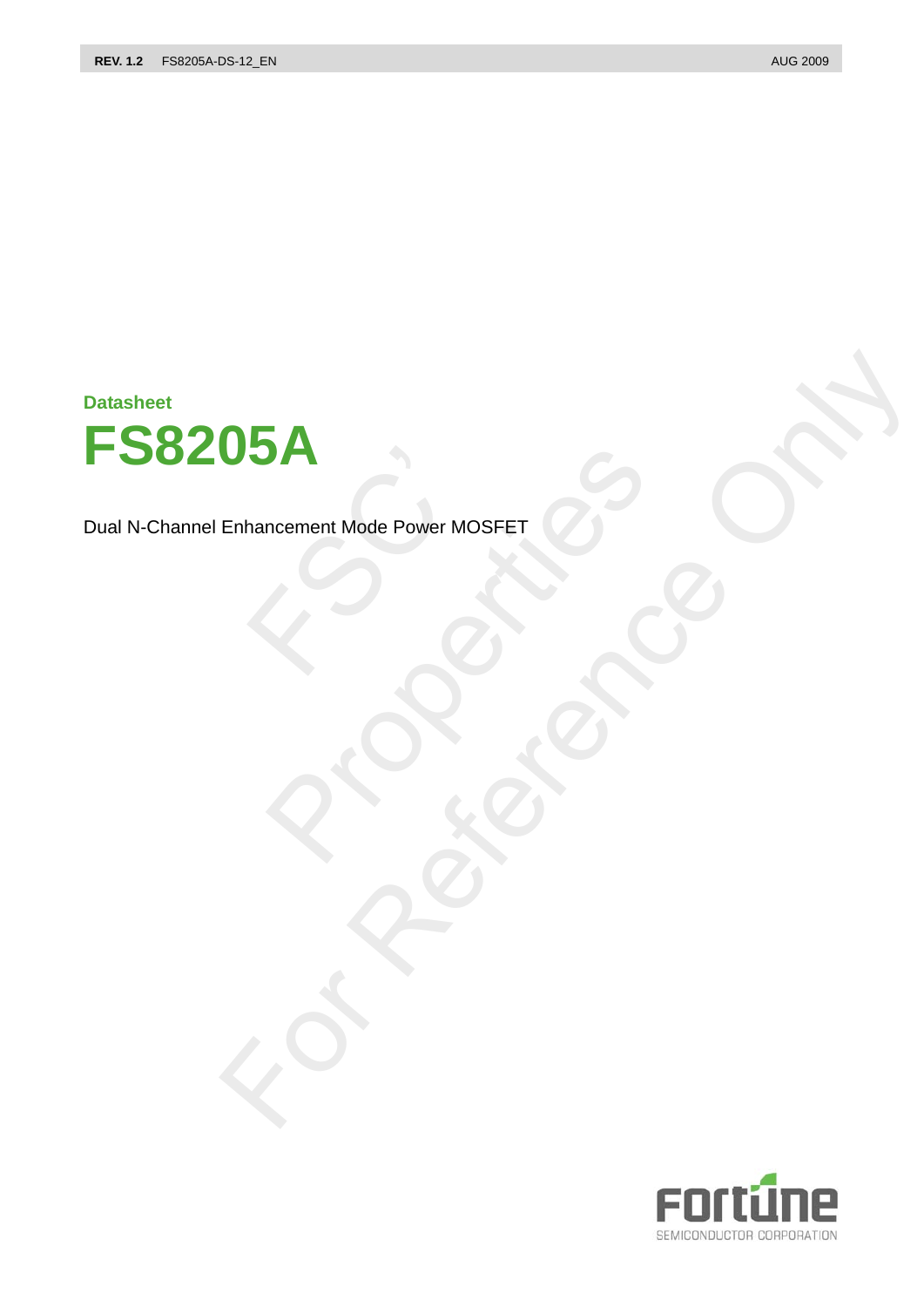**Datasheet**



Dual N-Channel Enhancement Mode Power MOSFET Mancement Mode Power MO PROPERTY AND REVENUES FOR SOLUTION OF THE CONTROL OF THE CONTROL OF THE CONTROL OF THE CONTROL OF THE CONTROL OF THE CONTROL OF THE CONTROL OF THE CONTROL OF THE CONTROL OF THE CONTROL OF THE CONTROL OF THE CONTROL OF THE Enhancement Mode Power MOSFET & CONTRANT

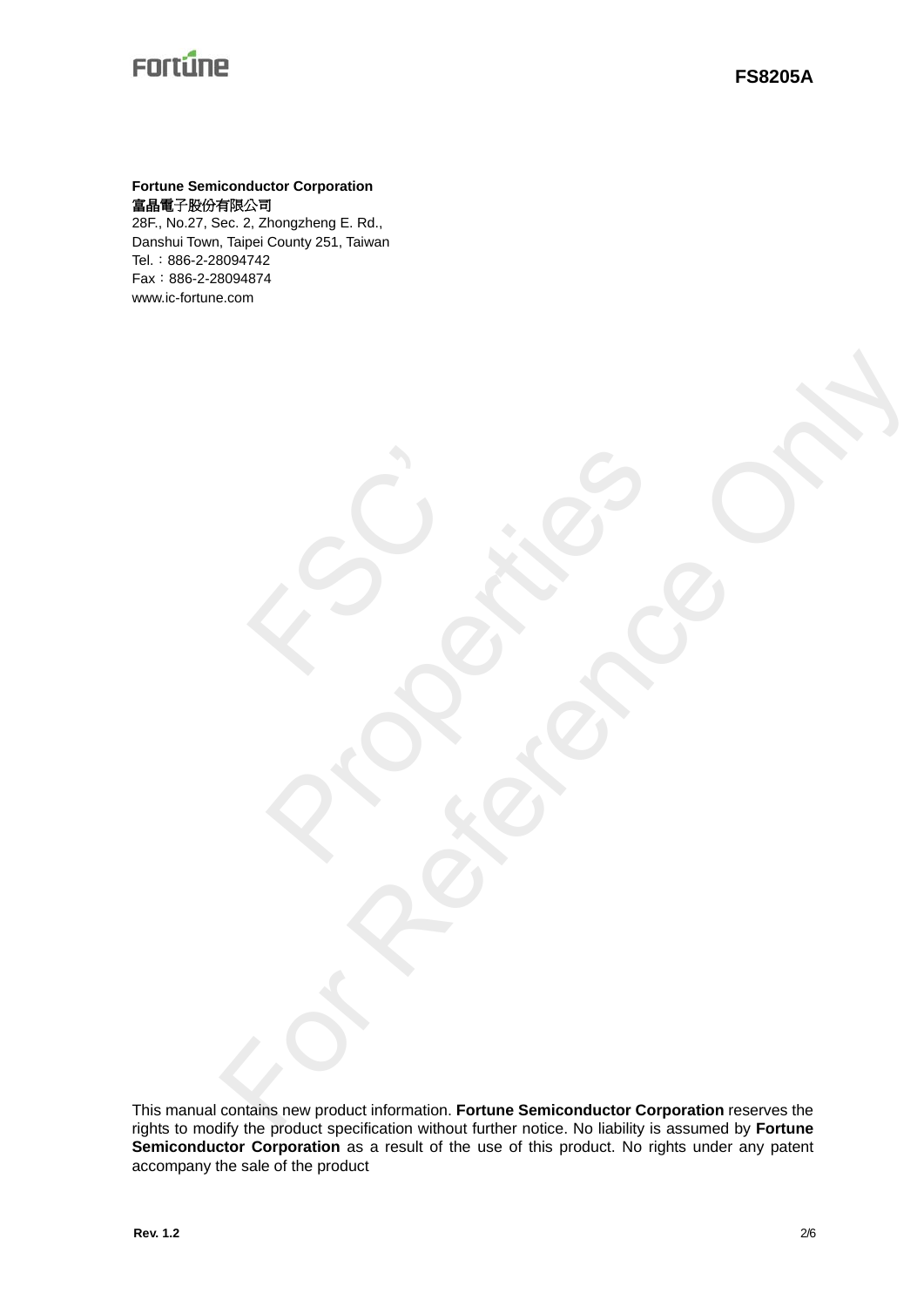### **Fortune Semiconductor Corporation**  富晶電子股份有限公司

28F., No.27, Sec. 2, Zhongzheng E. Rd., Danshui Town, Taipei County 251, Taiwan Tel.:886-2-28094742 Fax:886-2-28094874 www.ic-fortune.com

FSC'

This manual contains new product information. **Fortune Semiconductor Corporation** reserves the rights to modify the product specification without further notice. No liability is assumed by **Fortune**  Semiconductor Corporation as a result of the use of this product. No rights under any patent accompany the sale of the product Contribution of the Contribution Contraction Contraction Contraction

Richards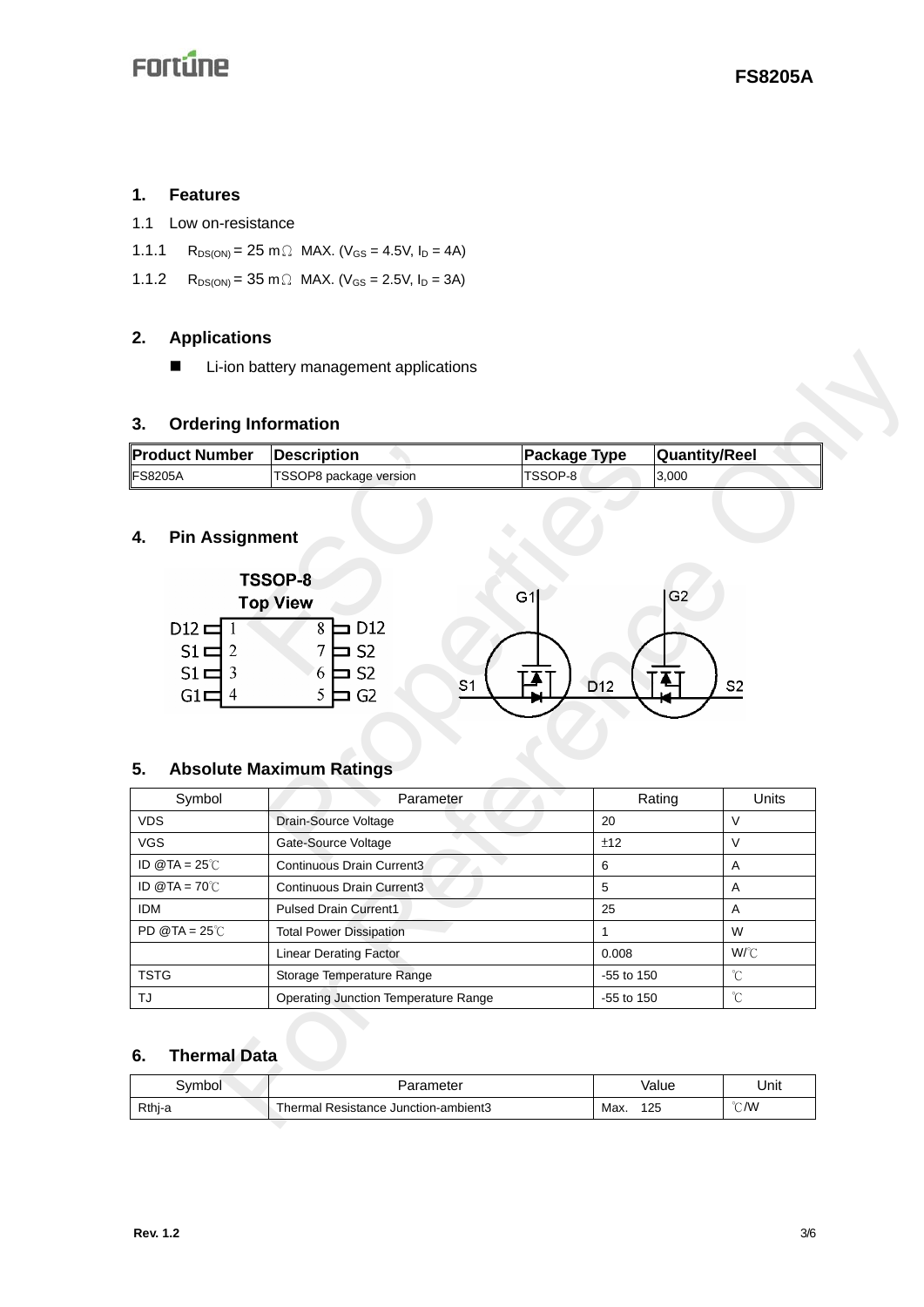### **1. Features**

- 1.1 Low on-resistance
- 1.1.1 R<sub>DS(ON)</sub> = 25 m  $\Omega$  MAX. (V<sub>GS</sub> = 4.5V, I<sub>D</sub> = 4A)
- 1.1.2  $R_{DS(ON)} = 35 \text{ m} \Omega \text{ MAX.}$  (V<sub>GS</sub> = 2.5V, I<sub>D</sub> = 3A)

## **2. Applications**

### **3. Ordering Information**

| ∥Product Number | <b>IDescription</b>    | <b>Package Type</b> | <b>Quantity/Reel</b> |
|-----------------|------------------------|---------------------|----------------------|
| <b>IFS8205A</b> | TSSOP8 package version | ITSSOP-8            | 3.000                |

# **4. Pin Assignment**



### **5. Absolute Maximum Ratings**

|                              |                                                                                            | Li-ion battery management applications                                                                                                     |                              |                      |       |  |
|------------------------------|--------------------------------------------------------------------------------------------|--------------------------------------------------------------------------------------------------------------------------------------------|------------------------------|----------------------|-------|--|
| 3.                           | <b>Ordering Information</b>                                                                |                                                                                                                                            |                              |                      |       |  |
|                              | <b>Product Number</b><br><b>Package Type</b><br><b>Quantity/Reel</b><br><b>Description</b> |                                                                                                                                            |                              |                      |       |  |
| FS8205A                      |                                                                                            | TSSOP8 package version                                                                                                                     | TSSOP-8                      | 3,000                |       |  |
| 4.                           | <b>Pin Assignment</b><br>$D12 \equiv 1$<br>$51 \square$ 2<br>$51 \square$ 3<br>$GI =$<br>4 | TSSOP-8<br><b>Top View</b><br>D <sub>12</sub><br>8E<br>7<br>S <sub>2</sub><br>S <sub>2</sub><br>6<br>S <sub>1</sub><br>5<br>G <sub>2</sub> | G <sub>1</sub><br><b>D12</b> | G2<br>S <sub>2</sub> |       |  |
|                              |                                                                                            |                                                                                                                                            |                              |                      |       |  |
| 5.                           | Symbol                                                                                     | <b>Absolute Maximum Ratings</b><br>Parameter                                                                                               |                              | Rating               | Units |  |
| <b>VDS</b>                   |                                                                                            | Drain-Source Voltage                                                                                                                       | 20                           | $\vee$               |       |  |
| <b>VGS</b>                   |                                                                                            | Gate-Source Voltage                                                                                                                        | ±12                          | V                    |       |  |
| ID $@TA = 25^\circ \text{C}$ |                                                                                            | Continuous Drain Current3                                                                                                                  | 6                            | Α                    |       |  |
| ID @TA = $70^{\circ}$ C      |                                                                                            | Continuous Drain Current3                                                                                                                  | 5                            | A                    |       |  |
| <b>IDM</b>                   |                                                                                            | <b>Pulsed Drain Current1</b>                                                                                                               | 25                           | Α                    |       |  |
| PD @TA = $25^{\circ}$ C      |                                                                                            | <b>Total Power Dissipation</b>                                                                                                             | $\mathbf{1}$                 | W                    |       |  |
|                              |                                                                                            | <b>Linear Derating Factor</b>                                                                                                              | 0.008                        | W/°C                 |       |  |
| <b>TSTG</b>                  |                                                                                            | Storage Temperature Range                                                                                                                  | -55 to 150                   | $^\circ\!{\rm C}$    |       |  |
| TJ                           |                                                                                            | <b>Operating Junction Temperature Range</b>                                                                                                | -55 to 150                   | °C                   |       |  |
| 6.                           | <b>Thermal Data</b>                                                                        |                                                                                                                                            |                              |                      |       |  |
|                              | Symbol                                                                                     | Parameter                                                                                                                                  |                              | Value                | Unit  |  |

## **6. Thermal Data**

| Svmbol | Parameter                            | Value       | Unit           |
|--------|--------------------------------------|-------------|----------------|
| Rthi-a | Thermal Resistance Junction-ambient3 | Max.<br>125 | $^{\circ}$ C/W |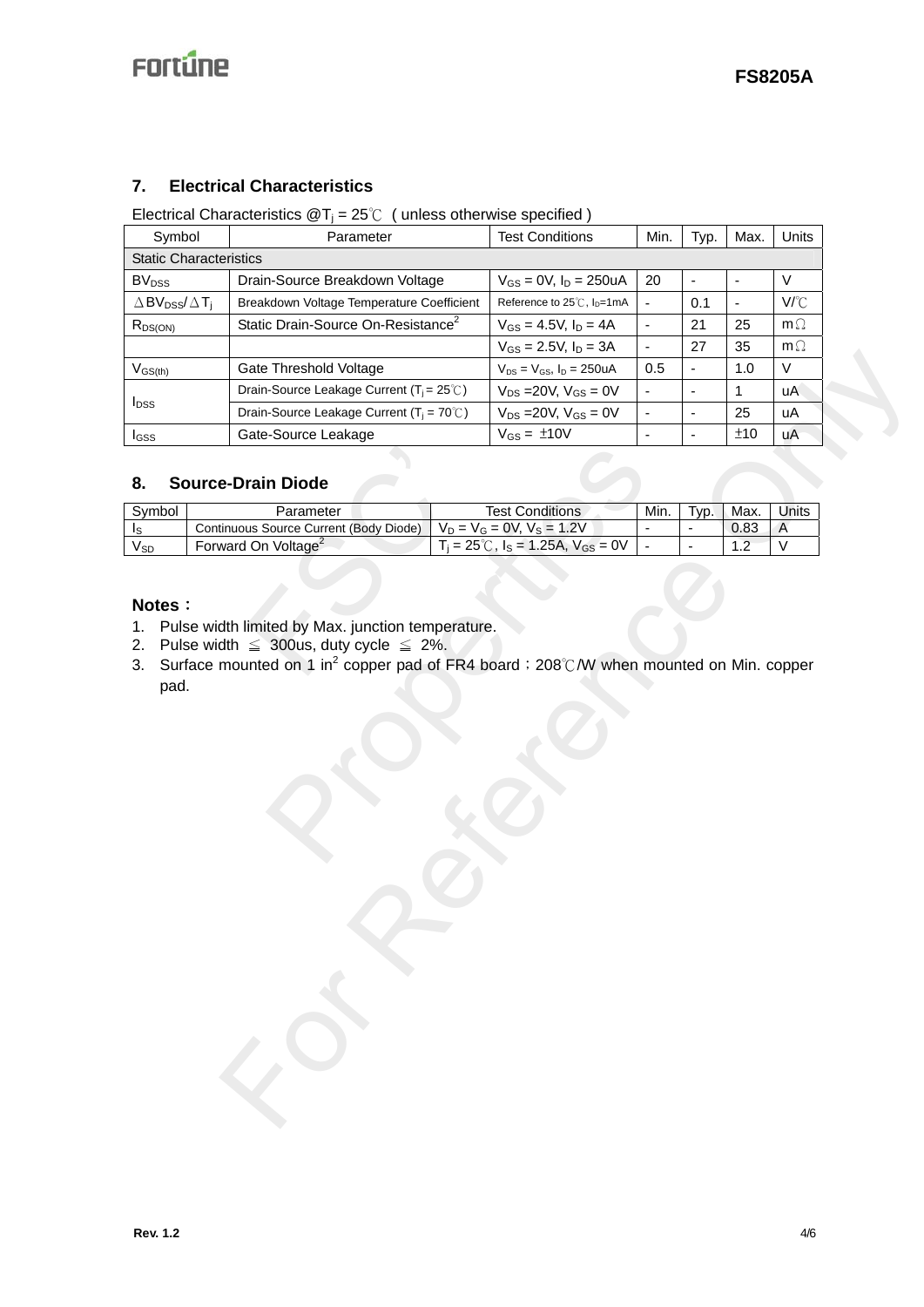## **7. Electrical Characteristics**

Electrical Characteristics  $\mathcal{Q}T_i = 25^\circ \mathcal{C}$  (unless otherwise specified)

| Symbol<br>Parameter                                               |                                                | <b>Test Conditions</b>                                                                                                                                                                                    | Min.                          | Typ.                                                | Max.                     | Units                  |                              |           |
|-------------------------------------------------------------------|------------------------------------------------|-----------------------------------------------------------------------------------------------------------------------------------------------------------------------------------------------------------|-------------------------------|-----------------------------------------------------|--------------------------|------------------------|------------------------------|-----------|
| <b>Static Characteristics</b>                                     |                                                |                                                                                                                                                                                                           |                               |                                                     |                          |                        |                              |           |
| <b>BV</b> <sub>DSS</sub>                                          |                                                | Drain-Source Breakdown Voltage                                                                                                                                                                            |                               | $V_{GS} = 0V$ , $I_D = 250uA$                       | 20                       | ÷,                     | ٠                            | $\vee$    |
| $\triangle$ BV <sub>DSS</sub> / $\triangle$ T <sub>i</sub>        |                                                | Breakdown Voltage Temperature Coefficient                                                                                                                                                                 |                               | Reference to 25℃, I <sub>D</sub> =1mA               | $\overline{\phantom{a}}$ | 0.1                    | $\qquad \qquad \blacksquare$ | V/°C      |
| $R_{DS(ON)}$                                                      | Static Drain-Source On-Resistance <sup>2</sup> |                                                                                                                                                                                                           |                               | $V_{GS} = 4.5V, I_D = 4A$                           | $\overline{\phantom{a}}$ | 21                     | 25                           | $m\Omega$ |
|                                                                   |                                                |                                                                                                                                                                                                           | $V_{GS} = 2.5V, I_D = 3A$     | $\blacksquare$                                      | 27                       | 35                     | $m\Omega$                    |           |
| $V_{GS(th)}$                                                      | Gate Threshold Voltage                         |                                                                                                                                                                                                           |                               | $V_{DS} = V_{GS}$ , $I_D = 250uA$                   | 0.5                      | $\blacksquare$         | 1.0                          | V         |
| Drain-Source Leakage Current ( $T_i = 25^\circ\text{C}$ )         |                                                |                                                                                                                                                                                                           | $V_{DS}$ = 20V, $V_{GS}$ = 0V |                                                     | $\overline{\phantom{a}}$ | 1                      | uA                           |           |
| $I_{DSS}$<br>Drain-Source Leakage Current ( $T_i = 70^{\circ}$ C) |                                                |                                                                                                                                                                                                           | $V_{DS} = 20V, V_{GS} = 0V$   |                                                     | $\blacksquare$           | 25                     | uA                           |           |
| $I_{GSS}$                                                         |                                                | Gate-Source Leakage                                                                                                                                                                                       |                               | $V_{GS} = \pm 10V$                                  | $\blacksquare$           | ÷,                     | ±10                          | uA        |
| 8.                                                                |                                                | <b>Source-Drain Diode</b>                                                                                                                                                                                 |                               | <b>Test Conditions</b>                              |                          |                        |                              | Units     |
| Symbol<br>Is                                                      |                                                | Parameter<br>Continuous Source Current (Body Diode)                                                                                                                                                       |                               | $V_D = V_G = 0V, V_S = 1.2V$                        | Min.                     | Typ.<br>$\blacksquare$ | Max.<br>0.83                 | A         |
| <b>V<sub>SD</sub></b>                                             |                                                | Forward On Voltage <sup>2</sup>                                                                                                                                                                           |                               | $T_i = 25^{\circ}C$ , $I_S = 1.25A$ , $V_{GS} = 0V$ | $\blacksquare$           |                        | 1.2                          | V         |
| Notes:<br>1.<br>2.<br>3.<br>pad.                                  |                                                | Pulse width limited by Max. junction temperature.<br>Pulse width $\leq$ 300us, duty cycle $\leq$ 2%.<br>Surface mounted on 1 in <sup>2</sup> copper pad of FR4 board ; 208℃/W when mounted on Min. copper |                               |                                                     |                          |                        |                              |           |
|                                                                   |                                                |                                                                                                                                                                                                           |                               |                                                     |                          |                        |                              |           |

#### **8. Source-Drain Diode**

| 8.                               | <b>Source-Drain Diode</b>                                                                                                                                                                                 |                                                      |      |      |      |       |
|----------------------------------|-----------------------------------------------------------------------------------------------------------------------------------------------------------------------------------------------------------|------------------------------------------------------|------|------|------|-------|
| Symbol                           | Parameter                                                                                                                                                                                                 | <b>Test Conditions</b>                               | Min. | Typ. | Max. | Units |
| Is                               | Continuous Source Current (Body Diode)                                                                                                                                                                    | $V_D = V_G = 0V, V_S = 1.2V$                         |      |      | 0.83 | A     |
| $V_{SD}$                         | Forward On Voltage <sup>2</sup>                                                                                                                                                                           | $T_i = 25^{\circ}$ C, $I_s = 1.25$ A, $V_{GS} = 0$ V |      |      | 1.2  | V     |
| Notes:<br>1.<br>2.<br>3.<br>pad. | Pulse width limited by Max. junction temperature.<br>Pulse width $\leq$ 300us, duty cycle $\leq$ 2%.<br>Surface mounted on 1 in <sup>2</sup> copper pad of FR4 board ; 208℃/W when mounted on Min. copper |                                                      |      |      |      |       |

## **Notes**:

- 1. Pulse width limited by Max. junction temperature.
- 2. Pulse width  $\leq 300$ us, duty cycle  $\leq 2\%$ .
- 3. Surface mounted on 1 in<sup>2</sup> copper pad of FR4 board; 208℃/W when mounted on Min. copper pad.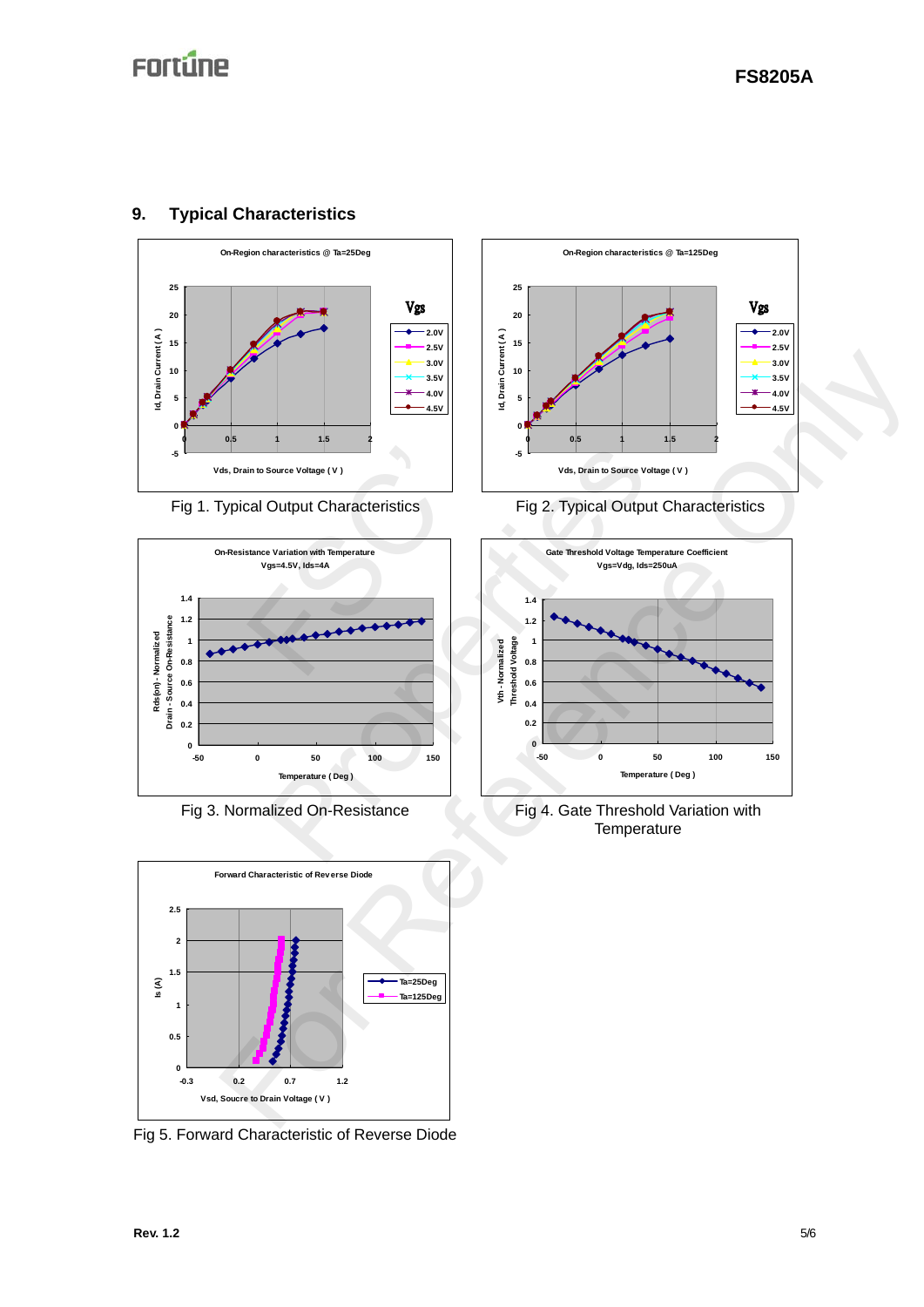

## **9. Typical Characteristics**





Fig 5. Forward Characteristic of Reverse Diode







Fig 3. Normalized On-Resistance Fig 4. Gate Threshold Variation with **Temperature**